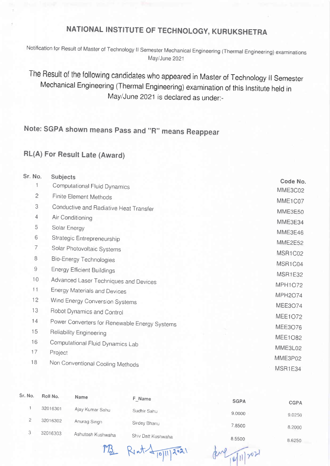## NATIONAL INSTITUTE OF TECHNOLOGY, KURUKSHETRA

Notification for Result of Master of rechnology ll semester Mechanical Engineering (Thermal Engineering) examinations May/June 2021

The Result of the following candidates who appeared in Master of Technology II Semester Mechanical Engineering (Thermal Engineering) examination of this lnstitute held in May/June 2021 is declared as under:-

## Note: SGPA shown means pass and "R" means Reappear

## RL(A) For Result Late (Award)

| Sr. No.      | <b>Subjects</b>                               |                |
|--------------|-----------------------------------------------|----------------|
|              | Computational Fluid Dynamics                  | Code No.       |
| $\mathbf{2}$ | <b>Finite Element Methods</b>                 | MME3C02        |
| 3            | Conductive and Radiative Heat Transfer        | MME1C07        |
| 4            | Air Conditioning                              | MME3E50        |
| 5            | Solar Energy                                  | MME3E34        |
| 6            | Strategic Entrepreneurship                    | MME3E46        |
| 7            | Solar Photovoltaic Systems                    | MME2E52        |
| 8            | <b>Bio-Energy Technologies</b>                | MSR1C02        |
| 9            | <b>Energy Efficient Buildings</b>             | MSR1C04        |
| 10           | Advanced Laser Techniques and Devices         | MSR1E32        |
| 11           | <b>Energy Materials and Devices</b>           | <b>MPH1O72</b> |
| 12           | Wind Energy Conversion Systems                | <b>MPH2O74</b> |
| 13           | Robot Dynamics and Control                    | <b>MEE3O74</b> |
| 14           | Power Converters for Renewable Energy Systems | <b>MEE1O72</b> |
| 15           | Reliability Engineering                       | <b>MEE3O76</b> |
| 16           | Computational Fluid Dynamics Lab              | <b>MEE1O82</b> |
| 17           | Project                                       | MME3L02        |
|              |                                               | MME3P02        |
| 18           | Non Conventional Cooling Methods              | MSR1E34        |

| Sr. No. | Roll No. | Name              | F Name                      |             |             |
|---------|----------|-------------------|-----------------------------|-------------|-------------|
|         |          |                   |                             | <b>SGPA</b> | <b>CGPA</b> |
|         | 32016301 | Ajay Kumar Sahu   | Sudhir Sahu                 | 9.0000      | 9.0250      |
|         | 32016302 | Anurag Singh      | Sirdey Bhanu                | 7.8500      | 8.2000      |
| C       | 32016303 | Ashutosh Kushwaha | Shiv Datt Kushwaha          | 8.5500      | 8.6250      |
|         |          | A                 | <b>STATES OF THE OWNER.</b> |             |             |

 $M_{2}$  Riat  $4\sqrt{911/202}$ 

 $1011202$